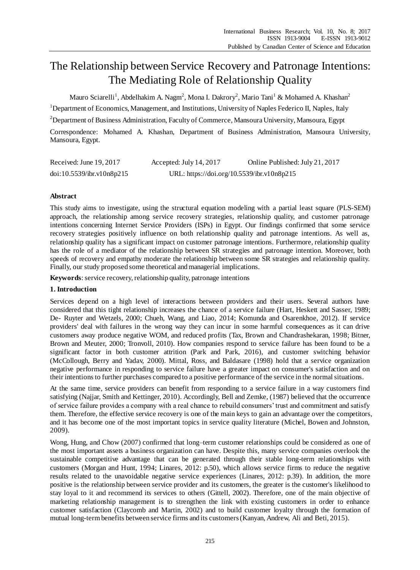# The Relationship between Service Recovery and Patronage Intentions: The Mediating Role of Relationship Quality

Mauro Sciarelli<sup>1</sup>, Abdelhakim A. Nagm<sup>2</sup>, Mona I. Dakrory<sup>2</sup>, Mario Tani<sup>1</sup> & Mohamed A. Khashan<sup>2</sup> <sup>1</sup>Department of Economics, Management, and Institutions, University of Naples Federico II, Naples, Italy

<sup>2</sup>Department of Business Administration, Faculty of Commerce, Mansoura University, Mansoura, Egypt

Correspondence: Mohamed A. Khashan, Department of Business Administration, Mansoura University, Mansoura, Egypt.

| Received: June 19, 2017   | Accepted: July $14, 2017$                  | Online Published: July 21, 2017 |
|---------------------------|--------------------------------------------|---------------------------------|
| doi:10.5539/ibr.v10n8p215 | URL: https://doi.org/10.5539/ibr.v10n8p215 |                                 |

# **Abstract**

This study aims to investigate, using the structural equation modeling with a partial least square (PLS-SEM) approach, the relationship among service recovery strategies, relationship quality, and customer patronage intentions concerning Internet Service Providers (ISPs) in Egypt. Our findings confirmed that some service recovery strategies positively influence on both relationship quality and patronage intentions. As well as, relationship quality has a significant impact on customer patronage intentions. Furthermore, relationship quality has the role of a mediator of the relationship between SR strategies and patronage intention. Moreover, both speeds of recovery and empathy moderate the relationship between some SR strategies and relationship quality. Finally, our study proposed some theoretical and managerial implications.

**Keywords**: service recovery, relationship quality, patronage intentions

# **1. Introduction**

Services depend on a high level of interactions between providers and their users. Several authors have considered that this tight relationship increases the chance of a service failure (Hart, Heskett and Sasser, 1989; De- Ruyter and Wetzels, 2000; Chueh, Wang, and Liao, 2014; Komunda and Osarenkhoe, 2012). If service providers' deal with failures in the wrong way they can incur in some harmful consequences as it can drive customers away produce negative WOM, and reduced profits (Tax, Brown and Chandrashekaran, 1998; Bitner, Brown and Meuter, 2000; Tronvoll, 2010). How companies respond to service failure has been found to be a significant factor in both customer attrition (Park and Park, 2016), and customer switching behavior (McCollough, Berry and Yadav, 2000). Mittal, Ross, and Baldasare (1998) hold that a service organization negative performance in responding to service failure have a greater impact on consumer's satisfaction and on their intentions to further purchases compared to a positive performance of the service in the normal situations.

At the same time, service providers can benefit from responding to a service failure in a way customers find satisfying (Najjar, Smith and Kettinger, 2010). Accordingly, Bell and Zemke, (1987) believed that the occurrence of service failure provides a company with a real chance to rebuild consumers' trust and commitment and satisfy them. Therefore, the effective service recovery is one of the main keys to gain an advantage over the competitors, and it has become one of the most important topics in service quality literature (Michel, Bowen and Johnston, 2009).

Wong, Hung, and Chow (2007) confirmed that long–term customer relationships could be considered as one of the most important assets a business organization can have. Despite this, many service companies overlook the sustainable competitive advantage that can be generated through their stable long-term relationships with customers (Morgan and Hunt, 1994; Linares, 2012: p.50), which allows service firms to reduce the negative results related to the unavoidable negative service experiences (Linares, 2012: p.39). In addition, the more positive is the relationship between service provider and its customers, the greater is the customer's likelihood to stay loyal to it and recommend its services to others (Gittell, 2002). Therefore, one of the main objective of marketing relationship management is to strengthen the link with existing customers in order to enhance customer satisfaction (Claycomb and Martin, 2002) and to build customer loyalty through the formation of mutual long-term benefits between service firms and its customers (Kanyan, Andrew, Ali and Beti, 2015).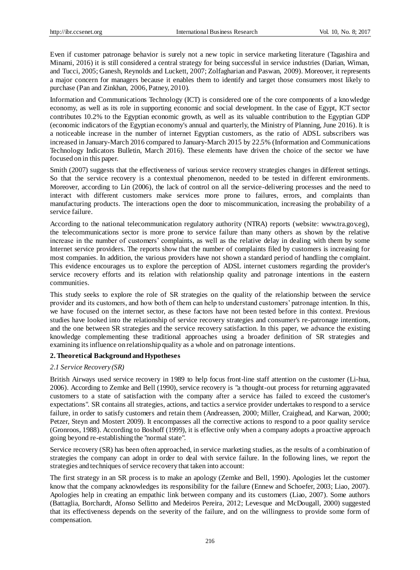Even if customer patronage behavior is surely not a new topic in service marketing literature (Tagashira and Minami, 2016) it is still considered a central strategy for being successful in service industries (Darian, Wiman, and Tucci, 2005; Ganesh, Reynolds and Luckett, 2007; Zolfagharian and Paswan, 2009). Moreover, it represents a major concern for managers because it enables them to identify and target those consumers most likely to purchase (Pan and Zinkhan, 2006, Patney, 2010).

Information and Communications Technology (ICT) is considered one of the core components of a knowledge economy, as well as its role in supporting economic and social development. In the case of Egypt, ICT sector contributes 10.2% to the Egyptian economic growth, as well as its valuable contribution to the Egyptian GDP (economic indicators of the Egyptian economy's annual and quarterly, the Ministry of Planning, June 2016). It is a noticeable increase in the number of internet Egyptian customers, as the ratio of ADSL subscribers was increased in January-March 2016 compared to January-March 2015 by 22.5% (Information and Communications Technology Indicators Bulletin, March 2016). These elements have driven the choice of the sector we have focused on in this paper.

Smith (2007) suggests that the effectiveness of various service recovery strategies changes in different settings. So that the service recovery is a contextual phenomenon, needed to be tested in different environments. Moreover, according to Lin (2006), the lack of control on all the service-delivering processes and the need to interact with different customers make services more prone to failures, errors, and complaints than manufacturing products. The interactions open the door to miscommunication, increasing the probability of a service failure.

According to the national telecommunication regulatory authority (NTRA) reports (website: www.tra.gov.eg), the telecommunications sector is more prone to service failure than many others as shown by the relative increase in the number of customers' complaints, as well as the relative delay in dealing with them by some Internet service providers. The reports show that the number of complaints filed by customers is increasing for most companies. In addition, the various providers have not shown a standard period of handling the complaint. This evidence encourages us to explore the perception of ADSL internet customers regarding the provider's service recovery efforts and its relation with relationship quality and patronage intentions in the eastern communities.

This study seeks to explore the role of SR strategies on the quality of the relationship between the service provider and its customers, and how both of them can help to understand customers' patronage intention. In this, we have focused on the internet sector, as these factors have not been tested before in this context. Previous studies have looked into the relationship of service recovery strategies and consumer's re-patronage intentions, and the one between SR strategies and the service recovery satisfaction. In this paper, we advance the existing knowledge complementing these traditional approaches using a broader definition of SR strategies and examining its influence on relationship quality as a whole and on patronage intentions.

## **2. Theoretical Background and Hypotheses**

#### *2.1 Service Recovery (SR)*

British Airways used service recovery in 1989 to help focus front-line staff attention on the customer (Li-hua, 2006). According to Zemke and Bell (1990), service recovery is "a thought-out process for returning aggravated customers to a state of satisfaction with the company after a service has failed to exceed the customer's expectations". SR contains all strategies, actions, and tactics a service provider undertakes to respond to a service failure, in order to satisfy customers and retain them (Andreassen, 2000; Miller, Craighead, and Karwan, 2000; Petzer, Steyn and Mostert 2009). It encompasses all the corrective actions to respond to a poor quality service (Gronroos, 1988). According to Boshoff (1999), it is effective only when a company adopts a proactive approach going beyond re-establishing the "normal state".

Service recovery (SR) has been often approached, in service marketing studies, as the results of a combination of strategies the company can adopt in order to deal with service failure. In the following lines, we report the strategies and techniques of service recovery that taken into account:

The first strategy in an SR process is to make an apology (Zemke and Bell, 1990). Apologies let the customer know that the company acknowledges its responsibility for the failure (Ennew and Schoefer, 2003; Liao, 2007). Apologies help in creating an empathic link between company and its customers (Liao, 2007). Some authors (Battaglia, Borchardt, Afonso Sellitto and Medeiros Pereira, 2012; Levesque and McDougall, 2000) suggested that its effectiveness depends on the severity of the failure, and on the willingness to provide some form of compensation.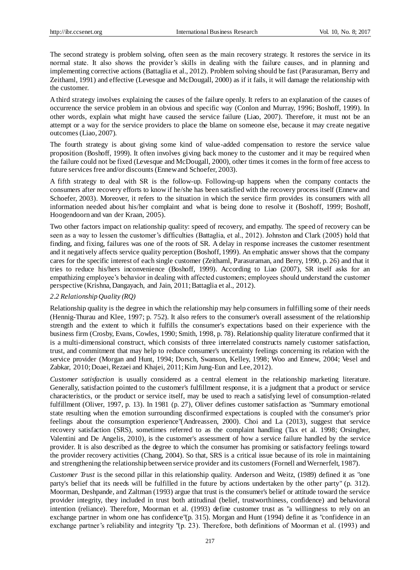The second strategy is problem solving, often seen as the main recovery strategy. It restores the service in its normal state. It also shows the provider's skills in dealing with the failure causes, and in planning and implementing corrective actions (Battaglia et al., 2012). Problem solving should be fast (Parasuraman, Berry and Zeithaml, 1991) and effective (Levesque and McDougall, 2000) as if it fails, it will damage the relationship with the customer.

A third strategy involves explaining the causes of the failure openly. It refers to an explanation of the causes of occurrence the service problem in an obvious and specific way (Conlon and Murray, 1996; Boshoff, 1999). In other words, explain what might have caused the service failure (Liao, 2007). Therefore, it must not be an attempt or a way for the service providers to place the blame on someone else, because it may create negative outcomes (Liao, 2007).

The fourth strategy is about giving some kind of value-added compensation to restore the service value proposition (Boshoff, 1999). It often involves giving back money to the customer and it may be required when the failure could not be fixed (Levesque and McDougall, 2000), other times it comes in the form of free access to future services free and/or discounts (Ennew and Schoefer, 2003).

A fifth strategy to deal with SR is the follow-up. Following-up happens when the company contacts the consumers after recovery efforts to know if he/she has been satisfied with the recovery process itself (Ennew and Schoefer, 2003). Moreover, it refers to the situation in which the service firm provides its consumers with all information needed about his/her complaint and what is being done to resolve it (Boshoff, 1999; Boshoff, Hoogendoorn and van der Kraan, 2005).

Two other factors impact on relationship quality: speed of recovery, and empathy. The speed of recovery can be seen as a way to lessen the customer's difficulties (Battaglia, et al., 2012). Johnston and Clark (2005) hold that finding, and fixing, failures was one of the roots of SR. A delay in response increases the customer resentment and it negatively affects service quality perception (Boshoff, 1999). An emphatic answer shows that the company cares for the specific interest of each single customer (Zeithaml, Parasuraman, and Berry, 1990, p. 26) and that it tries to reduce his/hers inconvenience (Boshoff, 1999). According to Liao (2007), SR itself asks for an empathizing employee's behavior in dealing with affected customers; employees should understand the customer perspective (Krishna, Dangayach, and Jain, 2011; Battaglia et al., 2012).

## *2.2 Relationship Quality (RQ)*

Relationship quality is the degree in which the relationship may help consumers in fulfilling some of their needs (Hennig-Thurau and Klee, 1997; p. 752). It also refers to the consumer's overall assessment of the relationship strength and the extent to which it fulfills the consumer's expectations based on their experience with the business firm (Crosby, Evans, Cowles, 1990; Smith, 1998, p. 78). Relationship quality literature confirmed that it is a multi-dimensional construct, which consists of three interrelated constructs namely customer satisfaction, trust, and commitment that may help to reduce consumer's uncertainty feelings concerning its relation with the service provider (Morgan and Hunt, 1994; Dorsch, Swanson, Kelley, 1998; Woo and Ennew, 2004; Vesel and Zabkar, 2010; Doaei, Rezaei and Khajei, 2011; Kim Jung-Eun and Lee, 2012).

*Customer satisfaction* is usually considered as a central element in the relationship marketing literature. Generally, satisfaction pointed to the customer's fulfillment response, it is a judgment that a product or service characteristics, or the product or service itself, may be used to reach a satisfying level of consumption-related fulfillment (Oliver, 1997, p. 13). In 1981 (p. 27), Oliver defines customer satisfaction as "Summary emotional state resulting when the emotion surrounding disconfirmed expectations is coupled with the consumer's prior feelings about the consumption experience"(Andreassen, 2000). Choi and La (2013), suggest that service recovery satisfaction (SRS), sometimes referred to as the complaint handling (Tax et al. 1998; Orsingher, Valentini and De Angelis, 2010), is the customer's assessment of how a service failure handled by the service provider. It is also described as the degree to which the consumer has promising or satisfactory feelings toward the provider recovery activities (Chang, 2004). So that, SRS is a critical issue because of its role in maintaining and strengthening the relationship between service provider and its customers (Fornell and Wernerfelt, 1987).

*Customer Trust* is the second pillar in this relationship quality. Anderson and Weitz, (1989) defined it as "one party's belief that its needs will be fulfilled in the future by actions undertaken by the other party" (p. 312). Moorman, Deshpande, and Zaltman (1993) argue that trust is the consumer's belief or attitude toward the service provider integrity, they included in trust both attitudinal (belief, trustworthiness, confidence) and behavioral intention (reliance). Therefore, Moorman et al. (1993) define customer trust as "a willingness to rely on an exchange partner in whom one has confidence"(p. 315). Morgan and Hunt (1994) define it as "confidence in an exchange partner's reliability and integrity "(p. 23). Therefore, both definitions of Moorman et al. (1993) and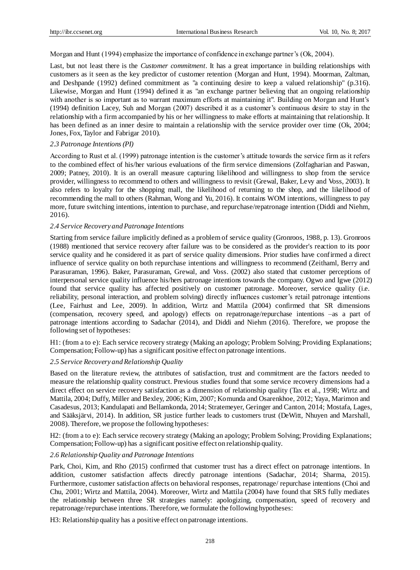Morgan and Hunt (1994) emphasize the importance of confidence in exchange partner's (Ok, 2004).

Last, but not least there is the *Customer commitment*. It has a great importance in building relationships with customers as it seen as the key predictor of customer retention (Morgan and Hunt, 1994). Moorman, Zaltman, and Deshpande (1992) defined commitment as "a continuing desire to keep a valued relationship" (p.316). Likewise, Morgan and Hunt (1994) defined it as "an exchange partner believing that an ongoing relationship with another is so important as to warrant maximum efforts at maintaining it". Building on Morgan and Hunt's (1994) definition Lacey, Suh and Morgan (2007) described it as a customer's continuous desire to stay in the relationship with a firm accompanied by his or her willingness to make efforts at maintaining that relationship. It has been defined as an inner desire to maintain a relationship with the service provider over time (Ok, 2004; Jones, Fox, Taylor and Fabrigar 2010).

## *2.3 Patronage Intentions (PI)*

According to Rust et al. (1999) patronage intention is the customer's attitude towards the service firm as it refers to the combined effect of his/her various evaluations of the firm service dimensions (Zolfagharian and Paswan, 2009; Patney, 2010). It is an overall measure capturing likelihood and willingness to shop from the service provider, willingness to recommend to others and willingness to revisit (Grewal, Baker, Levy and Voss, 2003). It also refers to loyalty for the shopping mall, the likelihood of returning to the shop, and the likelihood of recommending the mall to others (Rahman, Wong and Yu, 2016). It contains WOM intentions, willingness to pay more, future switching intentions, intention to purchase, and repurchase/repatronage intention (Diddi and Niehm, 2016).

## *2.4 Service Recovery and Patronage Intentions*

Starting from service failure implicitly defined as a problem of service quality (Gronroos, 1988, p. 13). Gronroos (1988) mentioned that service recovery after failure was to be considered as the provider's reaction to its poor service quality and he considered it as part of service quality dimensions. Prior studies have confirmed a direct influence of service quality on both repurchase intentions and willingness to recommend (Zeithaml, Berry and Parasuraman, 1996). Baker, Parasuraman, Grewal, and Voss. (2002) also stated that customer perceptions of interpersonal service quality influence his/hers patronage intentions towards the company. Ogwo and Igwe (2012) found that service quality has affected positively on customer patronage. Moreover, service quality (i.e. reliability, personal interaction, and problem solving) directly influences customer's retail patronage intentions (Lee, Fairhust and Lee, 2009). In addition, Wirtz and Mattila (2004) confirmed that SR dimensions (compensation, recovery speed, and apology) effects on repatronage/repurchase intentions –as a part of patronage intentions according to Sadachar (2014), and Diddi and Niehm (2016). Therefore, we propose the following set of hypotheses:

H1: (from a to e): Each service recovery strategy (Making an apology; Problem Solving; Providing Explanations; Compensation; Follow-up) has a significant positive effect on patronage intentions.

## *2.5 Service Recovery and Relationship Quality*

Based on the literature review, the attributes of satisfaction, trust and commitment are the factors needed to measure the relationship quality construct. Previous studies found that some service recovery dimensions had a direct effect on service recovery satisfaction as a dimension of relationship quality (Tax et al., 1998; Wirtz and Mattila, 2004; Duffy, Miller and Bexley, 2006; Kim, 2007; Komunda and Osarenkhoe, 2012; Yaya, Marimon and Casadesus, 2013; Kandulapati and Bellamkonda, 2014; Stratemeyer, Geringer and Canton, 2014; Mostafa, Lages, and Sääksjärvi, 2014). In addition, SR justice further leads to customers trust (DeWitt, Nhuyen and Marshall, 2008). Therefore, we propose the following hypotheses:

H2: (from a to e): Each service recovery strategy (Making an apology; Problem Solving; Providing Explanations; Compensation; Follow-up) has a significant positive effect on relationship quality.

## *2.6 Relationship Quality and Patronage Intentions*

Park, Choi, Kim, and Rho (2015) confirmed that customer trust has a direct effect on patronage intentions. In addition, customer satisfaction affects directly patronage intentions (Sadachar, 2014; Sharma, 2015). Furthermore, customer satisfaction affects on behavioral responses, repatronage/ repurchase intentions (Choi and Chu, 2001; Wirtz and Mattila, 2004). Moreover, Wirtz and Mattila (2004) have found that SRS fully mediates the relationship between three SR strategies namely: apologizing, compensation, speed of recovery and repatronage/repurchase intentions. Therefore, we formulate the following hypotheses:

H3: Relationship quality has a positive effect on patronage intentions.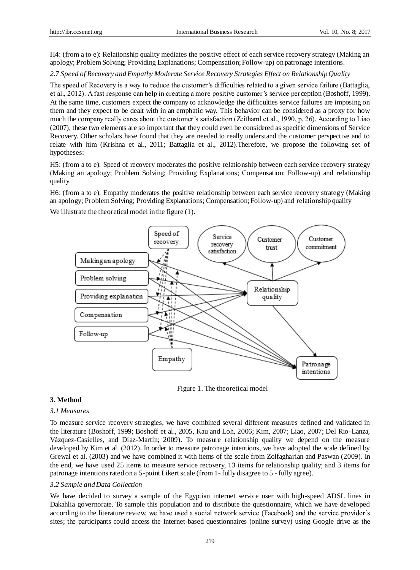H4: (from a to e): Relationship quality mediates the positive effect of each service recovery strategy (Making an apology; Problem Solving; Providing Explanations; Compensation; Follow-up) on patronage intentions.

## *2.7 Speed of Recovery and Empathy Moderate Service Recovery Strategies Effect on Relationship Quality*

The speed of Recovery is a way to reduce the customer's difficulties related to a given service failure (Battaglia, et al., 2012). A fast response can help in creating a more positive customer's service perception (Boshoff, 1999). At the same time, customers expect the company to acknowledge the difficulties service failures are imposing on them and they expect to be dealt with in an emphatic way. This behavior can be considered as a proxy for how much the company really cares about the customer's satisfaction (Zeithaml et al., 1990, p. 26). According to Liao (2007), these two elements are so important that they could even be considered as specific dimensions of Service Recovery. Other scholars have found that they are needed to really understand the customer perspective and to relate with him (Krishna et al., 2011; Battaglia et al., 2012).Therefore, we propose the following set of hypotheses:

H5: (from a to e): Speed of recovery moderates the positive relationship between each service recovery strategy (Making an apology; Problem Solving; Providing Explanations; Compensation; Follow-up) and relationship quality

H6: (from a to e): Empathy moderates the positive relationship between each service recovery strategy (Making an apology; Problem Solving; Providing Explanations; Compensation; Follow-up) and relationship quality

We illustrate the theoretical model in the figure  $(1)$ .



Figure 1. The theoretical model

## **3. Method**

#### *3.1 Measures*

To measure service recovery strategies, we have combined several different measures defined and validated in the literature (Boshoff, 1999; Boshoff et al., 2005, Kau and Loh, 2006; Kim, 2007; Liao, 2007; Del Rio-Lanza, Vázquez-Casielles, and Díaz-Martín; 2009). To measure relationship quality we depend on the measure developed by Kim et al. (2012). In order to measure patronage intentions, we have adopted the scale defined by Grewal et al. (2003) and we have combined it with items of the scale from Zolfagharian and Paswan (2009). In the end, we have used 25 items to measure service recovery, 13 items for relationship quality; and 3 items for patronage intentions rated on a 5-point Likert scale (from 1- fully disagree to 5 - fully agree).

#### *3.2 Sample and Data Collection*

We have decided to survey a sample of the Egyptian internet service user with high-speed ADSL lines in Dakahlia governorate. To sample this population and to distribute the questionnaire, which we have developed according to the literature review, we have used a social network service (Facebook) and the service provider's sites; the participants could access the Internet-based questionnaires (online survey) using Google drive as the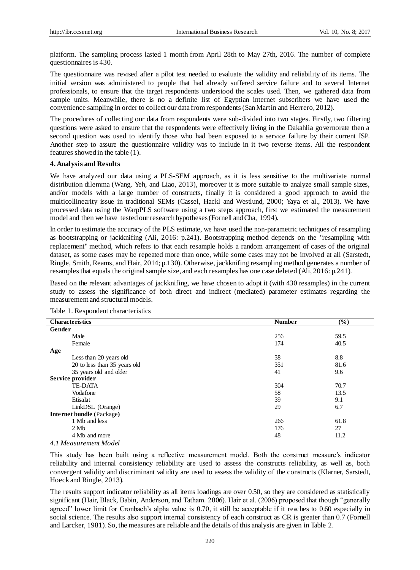platform. The sampling process lasted 1 month from April 28th to May 27th, 2016. The number of complete questionnaires is 430.

The questionnaire was revised after a pilot test needed to evaluate the validity and reliability of its items. The initial version was administered to people that had already suffered service failure and to several Internet professionals, to ensure that the target respondents understood the scales used. Then, we gathered data from sample units. Meanwhile, there is no a definite list of Egyptian internet subscribers we have used the convenience sampling in order to collect our data from respondents (San Mart *fi and Herrero, 2012)*.

The procedures of collecting our data from respondents were sub-divided into two stages. Firstly, two filtering questions were asked to ensure that the respondents were effectively living in the Dakahlia governorate then a second question was used to identify those who had been exposed to a service failure by their current ISP. Another step to assure the questionnaire validity was to include in it two reverse items. All the respondent features showed in the table (1).

#### **4. Analysis and Results**

We have analyzed our data using a PLS-SEM approach, as it is less sensitive to the multivariate normal distribution dilemma (Wang, Yeh, and Liao, 2013), moreover it is more suitable to analyze small sample sizes, and/or models with a large number of constructs, finally it is considered a good approach to avoid the multicollinearity issue in traditional SEMs (Cassel, Hackl and Westlund, 2000; Yaya et al., 2013). We have processed data using the WarpPLS software using a two steps approach, first we estimated the measurement model and then we have tested our research hypotheses (Fornell and Cha, 1994).

In order to estimate the accuracy of the PLS estimate, we have used the non-parametric techniques of resampling as bootstrapping or jackknifing (Ali, 2016: p.241). Bootstrapping method depends on the "resampling with replacement" method, which refers to that each resample holds a random arrangement of cases of the original dataset, as some cases may be repeated more than once, while some cases may not be involved at all (Sarstedt, Ringle, Smith, Reams, and Hair, 2014; p.130). Otherwise, jackknifing resampling method generates a number of resamples that equals the original sample size, and each resamples has one case deleted (Ali, 2016: p.241).

Based on the relevant advantages of jackknifing, we have chosen to adopt it (with 430 resamples) in the current study to assess the significance of both direct and indirect (mediated) parameter estimates regarding the measurement and structural models.

| <b>Characteristics</b>       | <b>Number</b> | $(\%)$ |
|------------------------------|---------------|--------|
| Gender                       |               |        |
| Male                         | 256           | 59.5   |
| Female                       | 174           | 40.5   |
| Age                          |               |        |
| Less than 20 years old       | 38            | 8.8    |
| 20 to less than 35 years old | 351           | 81.6   |
| 35 years old and older       | 41            | 9.6    |
| Service provider             |               |        |
| <b>TE-DATA</b>               | 304           | 70.7   |
| Vodafone                     | 58            | 13.5   |
| Etisalat                     | 39            | 9.1    |
| LinkDSL (Orange)             | 29            | 6.7    |
| Internet bundle (Package)    |               |        |
| 1 Mb and less                | 266           | 61.8   |
| 2Mb                          | 176           | 27     |
| 4 Mb and more                | 48            | 11.2   |

Table 1. Respondent characteristics

*4.1 Measurement Model*

This study has been built using a reflective measurement model. Both the construct measure's indicator reliability and internal consistency reliability are used to assess the constructs reliability, as well as, both convergent validity and discriminant validity are used to assess the validity of the constructs (Klarner, Sarstedt, Hoeck and Ringle, 2013).

The results support indicator reliability as all items loadings are over 0.50, so they are considered as statistically significant (Hair, Black, Babin, Anderson, and Tatham. 2006). Hair et al. (2006) proposed that though "generally agreed" lower limit for Cronbach's alpha value is 0.70, it still be acceptable if it reaches to 0.60 especially in social science. The results also support internal consistency of each construct as CR is greater than 0.7 (Fornell and Larcker, 1981). So, the measures are reliable and the details of this analysis are given in Table 2.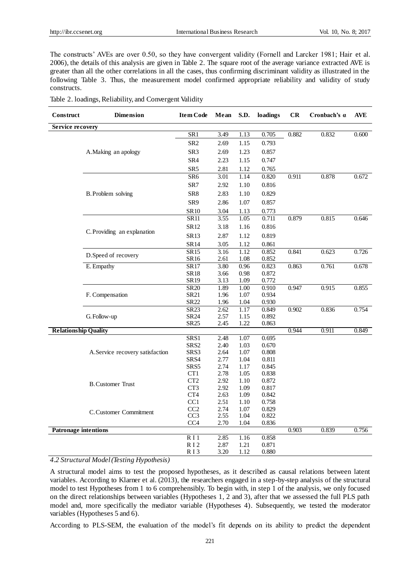The constructs' AVEs are over 0.50, so they have convergent validity (Fornell and Larcker 1981; Hair et al. 2006), the details of this analysis are given in Table 2. The square root of the average variance extracted AVE is greater than all the other correlations in all the cases, thus confirming discriminant validity as illustrated in the following Table 3. Thus, the measurement model confirmed appropriate reliability and validity of study constructs.

Table 2. loadings, Reliability, and Convergent Validity

| Construct                   | <b>Dimension</b>                | <b>Item Code</b>                   | Mean         | S.D.         | loadings       | <b>CR</b> | Cronbach's a | AVE   |
|-----------------------------|---------------------------------|------------------------------------|--------------|--------------|----------------|-----------|--------------|-------|
| Service recovery            |                                 |                                    |              |              |                |           |              |       |
|                             |                                 | SR1                                | 3.49         | 1.13         | 0.705          | 0.882     | 0.832        | 0.600 |
|                             |                                 | SR <sub>2</sub>                    | 2.69         | 1.15         | 0.793          |           |              |       |
|                             | A.Making an apology             | SR <sub>3</sub>                    | 2.69         | 1.23         | 0.857          |           |              |       |
|                             |                                 | SR4                                | 2.23         | 1.15         | 0.747          |           |              |       |
|                             |                                 | SR <sub>5</sub>                    | 2.81         | 1.12         | 0.765          |           |              |       |
|                             |                                 | $\overline{\text{SR6}}$            | 3.01         | 1.14         | 0.820          | 0.911     | 0.878        | 0.672 |
|                             |                                 | SR7                                | 2.92         | 1.10         | 0.816          |           |              |       |
|                             | B. Problem solving              | SR8                                | 2.83         | 1.10         | 0.829          |           |              |       |
|                             |                                 | SR9                                | 2.86         | 1.07         | 0.857          |           |              |       |
|                             |                                 | <b>SR10</b>                        | 3.04         | 1.13         | 0.773          |           |              |       |
|                             |                                 | SR11                               | 3.55         | 1.05         | 0.711          | 0.879     | 0.815        | 0.646 |
|                             |                                 | SR12                               | 3.18         | 1.16         | 0.816          |           |              |       |
|                             | C. Providing an explanation     | SR <sub>13</sub>                   | 2.87         | 1.12         | 0.819          |           |              |       |
|                             |                                 | SR <sub>14</sub>                   | 3.05         | 1.12         | 0.861          |           |              |       |
|                             |                                 | $\overline{\text{SR15}}$           | 3.16         | 1.12         | 0.852          | 0.841     | 0.623        | 0.726 |
|                             | D.Speed of recovery             | SR16                               | 2.61         | 1.08         | 0.852          |           |              |       |
|                             | E. Empathy                      | $\overline{\text{SR17}}$           | 3.80         | 0.96         | 0.823          | 0.863     | 0.761        | 0.678 |
|                             |                                 | <b>SR18</b>                        | 3.66         | 0.98         | 0.872          |           |              |       |
|                             |                                 | SR19                               | 3.13         | 1.09         | 0.772          |           |              |       |
|                             | F. Compensation                 | <b>SR20</b>                        | 1.89         | 1.00         | 0.910          | 0.947     | 0.915        | 0.855 |
|                             |                                 | SR21<br><b>SR22</b>                | 1.96<br>1.96 | 1.07<br>1.04 | 0.934<br>0.930 |           |              |       |
|                             |                                 | SR23                               | 2.62         | 1.17         | 0.849          | 0.902     | 0.836        | 0.754 |
|                             | G. Follow-up                    | SR24                               | 2.57         | 1.15         | 0.892          |           |              |       |
|                             |                                 | <b>SR25</b>                        | 2.45         | 1.22         | 0.863          |           |              |       |
| <b>Relationship Quality</b> |                                 |                                    |              |              |                | 0.944     | 0.911        | 0.849 |
|                             |                                 | SRS1                               | 2.48         | 1.07         | 0.695          |           |              |       |
|                             |                                 | SRS <sub>2</sub>                   | 2.40         | 1.03         | 0.670          |           |              |       |
|                             | A.Service recovery satisfaction | SRS3                               | 2.64         | 1.07         | 0.808          |           |              |       |
|                             |                                 | SRS4                               | 2.77         | 1.04         | 0.811          |           |              |       |
|                             |                                 | SRS5                               | 2.74         | 1.17         | 0.845          |           |              |       |
|                             |                                 | CT1                                | 2.78         | 1.05         | 0.838          |           |              |       |
|                             | <b>B.Customer Trust</b>         | CT <sub>2</sub>                    | 2.92         | 1.10         | 0.872          |           |              |       |
|                             |                                 | CT3                                | 2.92         | 1.09         | 0.817          |           |              |       |
|                             |                                 | CT4                                | 2.63         | 1.09         | 0.842          |           |              |       |
|                             |                                 | CC1                                | 2.51         | 1.10         | 0.758          |           |              |       |
|                             |                                 | CC <sub>2</sub>                    | 2.74         | 1.07         | 0.829          |           |              |       |
|                             | C.Customer Commitment           |                                    | 2.55         | 1.04         | 0.822          |           |              |       |
|                             |                                 | CC <sub>3</sub><br>CC <sub>4</sub> | 2.70         | 1.04         | 0.836          |           |              |       |
| <b>Patronage intentions</b> |                                 |                                    |              |              |                | 0.903     | 0.839        | 0.756 |
|                             |                                 | R <sub>1</sub>                     | 2.85         | 1.16         | 0.858          |           |              |       |
|                             |                                 | RI <sub>2</sub>                    | 2.87         | 1.21         | 0.871          |           |              |       |
|                             |                                 | R <sub>I</sub> 3                   | 3.20         | 1.12         | 0.880          |           |              |       |

## *4.2 Structural Model (Testing Hypothesis)*

A structural model aims to test the proposed hypotheses, as it described as causal relations between latent variables. According to Klarner et al. (2013), the researchers engaged in a step-by-step analysis of the structural model to test Hypotheses from 1 to 6 comprehensibly. To begin with, in step 1 of the analysis, we only focused on the direct relationships between variables (Hypotheses 1, 2 and 3), after that we assessed the full PLS path model and, more specifically the mediator variable (Hypotheses 4). Subsequently, we tested the moderator variables (Hypotheses 5 and 6).

According to PLS-SEM, the evaluation of the model's fit depends on its ability to predict the dependent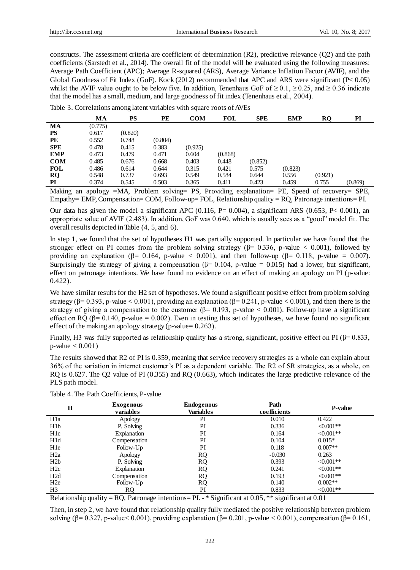constructs. The assessment criteria are coefficient of determination (R2), predictive relevance (Q2) and the path coefficients (Sarstedt et al., 2014). The overall fit of the model will be evaluated using the following measures: Average Path Coefficient (APC); Average R-squared (ARS), Average Variance Inflation Factor (AVIF), and the Global Goodness of Fit Index (GoF). Kock (2012) recommended that APC and ARS were significant (P< 0.05) whilst the AVIF value ought to be below five. In addition, Tenenhaus GoF of  $\geq 0.1$ ,  $\geq 0.25$ , and  $\geq 0.36$  indicate that the model has a small, medium, and large goodness of fit index (Tenenhaus et al., 2004).

|  | Table 3. Correlations among latent variables with square roots of AVEs |  |  |
|--|------------------------------------------------------------------------|--|--|
|  |                                                                        |  |  |

|            | МA      | PS      | PE      | <b>COM</b> | <b>FOL</b> | <b>SPE</b> | <b>EMP</b> | RQ      | PI      |
|------------|---------|---------|---------|------------|------------|------------|------------|---------|---------|
| MA         | (0.775) |         |         |            |            |            |            |         |         |
| <b>PS</b>  | 0.617   | (0.820) |         |            |            |            |            |         |         |
| PE         | 0.552   | 0.748   | (0.804) |            |            |            |            |         |         |
| <b>SPE</b> | 0.478   | 0.415   | 0.383   | (0.925)    |            |            |            |         |         |
| <b>EMP</b> | 0.473   | 0.479   | 0.471   | 0.604      | (0.868)    |            |            |         |         |
| <b>COM</b> | 0.485   | 0.676   | 0.668   | 0.403      | 0.448      | (0.852)    |            |         |         |
| <b>FOL</b> | 0.486   | 0.614   | 0.644   | 0.315      | 0.421      | 0.575      | (0.823)    |         |         |
| <b>RQ</b>  | 0.548   | 0.737   | 0.693   | 0.549      | 0.584      | 0.644      | 0.556      | (0.921) |         |
| PI         | 0.374   | 0.545   | 0.503   | 0.365      | 0.411      | 0.423      | 0.459      | 0.755   | (0.869) |

Making an apology =MA, Problem solving= PS, Providing explanation= PE, Speed of recovery= SPE, Empathy= EMP, Compensation= COM, Follow-up= FOL, Relationship quality = RQ, Patronage intentions= PI.

Our data has given the model a significant APC  $(0.116, P= 0.004)$ , a significant ARS  $(0.653, P< 0.001)$ , an appropriate value of AVIF (2.483). In addition, GoF was 0.640, which is usually sees as a "good" model fit. The overall results depicted in Table (4, 5, and 6).

In step 1, we found that the set of hypotheses H1 was partially supported. In particular we have found that the stronger effect on PI comes from the problem solving strategy ( $\beta$ = 0.336, p-value < 0.001), followed by providing an explanation (β= 0.164, p-value < 0.001), and then follow-up (β= 0.118, p-value = 0.007). Surprisingly the strategy of giving a compensation ( $\beta$ = 0.104, p-value = 0.015) had a lower, but significant, effect on patronage intentions. We have found no evidence on an effect of making an apology on PI (p-value: 0.422).

We have similar results for the H2 set of hypotheses. We found a significant positive effect from problem solving strategy ( $\beta$ = 0.393, p-value < 0.001), providing an explanation ( $\beta$ = 0.241, p-value < 0.001), and then there is the strategy of giving a compensation to the customer ( $\beta$ = 0.193, p-value < 0.001). Follow-up have a significant effect on RQ ( $\beta$ = 0.140, p-value = 0.002). Even in testing this set of hypotheses, we have found no significant effect of the making an apology strategy (p-value=  $0.263$ ).

Finally, H3 was fully supported as relationship quality has a strong, significant, positive effect on PI ( $\beta$ = 0.833,  $p$ -value  $< 0.001$ )

The results showed that R2 of PI is 0.359, meaning that service recovery strategies as a whole can explain about 36% of the variation in internet customer's PI as a dependent variable. The R2 of SR strategies, as a whole, on RQ is 0.627. The Q2 value of PI (0.355) and RQ (0.663), which indicates the large predictive relevance of the PLS path model.

| $\bf H$          | <b>Exogenous</b><br>variables | <b>Endogenous</b><br>Variables | Path<br>coefficients | <b>P-value</b> |
|------------------|-------------------------------|--------------------------------|----------------------|----------------|
| H <sub>1</sub> a | Apology                       | PI                             | 0.010                | 0.422          |
| H1b              | P. Solving                    | PI                             | 0.336                | $<0.001**$     |
| H <sub>1</sub> c | Explanation                   | PI                             | 0.164                | $<0.001**$     |
| H <sub>1</sub> d | Compensation                  | PI                             | 0.104                | $0.015*$       |
| H <sub>1</sub> e | Follow-Up                     | PI                             | 0.118                | $0.007**$      |
| H2a              | Apology                       | <b>RQ</b>                      | $-0.030$             | 0.263          |
| H2b              | P. Solving                    | RQ                             | 0.393                | $< 0.001**$    |
| H2c              | Explanation                   | <b>RQ</b>                      | 0.241                | $< 0.001**$    |
| H2d              | Compensation                  | RQ                             | 0.193                | $<0.001**$     |
| H2e              | Follow-Up                     | RQ                             | 0.140                | $0.002**$      |
| H3               | <b>RQ</b>                     | PI                             | 0.833                | $<0.001**$     |

Table 4. The Path Coefficients, P-value

Relationship quality = RQ, Patronage intentions= PI. -  $*$  Significant at 0.05,  $**$  significant at 0.01

Then, in step 2, we have found that relationship quality fully mediated the positive relationship between problem solving (β=  $0.327$ , p-value < 0.001), providing explanation (β= 0.201, p-value < 0.001), compensation (β= 0.161,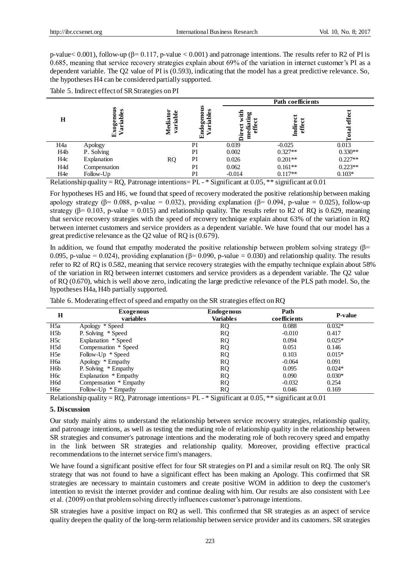p-value  $0.001$ , follow-up ( $\beta$ = 0.117, p-value  $0.001$ ) and patronage intentions. The results refer to R2 of PI is 0.685, meaning that service recovery strategies explain about 69% of the variation in internet customer's PI as a dependent variable. The Q2 value of PI is (0.593), indicating that the model has a great predictive relevance. So, the hypotheses H4 can be considered partially supported.

Table 5. Indirect effect of SR Strategies on PI

|                  |                                       |                      |                                                         |                                                                 | Path coefficients  |                                   |
|------------------|---------------------------------------|----------------------|---------------------------------------------------------|-----------------------------------------------------------------|--------------------|-----------------------------------|
| H                | S<br>s<br>قا<br>ē<br>Exogel<br>Varial | Mediator<br>variable | В<br>w<br>geno<br>iable:<br>är<br>$\bullet$<br>Ĕnd<br>⊳ | rith<br>ρg<br>э<br>ъ<br>≞<br>effe<br>ت<br>≂<br>$\Phi$<br>έ<br>ឪ | Indirect<br>effect | effect<br>$\overline{\mathbf{a}}$ |
| H <sub>4</sub> a | Apology                               |                      | PI                                                      | 0.039                                                           | $-0.025$           | 0.013                             |
| H <sub>4</sub> b | P. Solving                            |                      | PI                                                      | 0.002                                                           | $0.327**$          | $0.330**$                         |
| H <sub>4c</sub>  | Explanation                           | RQ                   | PI                                                      | 0.026                                                           | $0.201**$          | $0.227**$                         |
| H <sub>4</sub> d | Compensation                          |                      | PI                                                      | 0.062                                                           | $0.161**$          | $0.223**$                         |
| H <sub>4e</sub>  | Follow-Up                             |                      | PI                                                      | $-0.014$                                                        | $0.117**$          | $0.103*$                          |

Relationship quality = RQ, Patronage intentions= PI. -  $*$  Significant at 0.05,  $**$  significant at 0.01

For hypotheses H5 and H6, we found that speed of recovery moderated the positive relationship between making apology strategy ( $\beta$ = 0.088, p-value = 0.032), providing explanation ( $\beta$ = 0.094, p-value = 0.025), follow-up strategy ( $\beta$ = 0.103, p-value = 0.015) and relationship quality. The results refer to R2 of RQ is 0.629, meaning that service recovery strategies with the speed of recovery technique explain about 63% of the variation in RQ between internet customers and service providers as a dependent variable. We have found that our model has a great predictive relevance as the Q2 value of RQ is (0.679).

In addition, we found that empathy moderated the positive relationship between problem solving strategy ( $\beta$ = 0.095, p-value = 0.024), providing explanation ( $\beta$ = 0.090, p-value = 0.030) and relationship quality. The results refer to R2 of RQ is 0.582, meaning that service recovery strategies with the empathy technique explain about 58% of the variation in RQ between internet customers and service providers as a dependent variable. The Q2 value of RQ (0.670), which is well above zero, indicating the large predictive relevance of the PLS path model. So, the hypotheses H4a, H4b partially supported.

| $\bf H$          | Exogenous<br>variables | <b>Endogenous</b><br>Variables | Path<br>coefficients | <b>P-value</b> |
|------------------|------------------------|--------------------------------|----------------------|----------------|
| H5a              | Apology * Speed        | RQ                             | 0.088                | $0.032*$       |
| H <sub>5</sub> b | P. Solving * Speed     | RQ                             | $-0.010$             | 0.417          |
| H5c              | Explanation * Speed    | RQ                             | 0.094                | $0.025*$       |
| H5d              | Compensation * Speed   | <b>RQ</b>                      | 0.051                | 0.146          |
| H <sub>5e</sub>  | Follow-Up * Speed      | RQ                             | 0.103                | $0.015*$       |
| H6a              | Apology * Empathy      | <b>RQ</b>                      | $-0.064$             | 0.091          |
| H6b              | P. Solving * Empathy   | <b>RQ</b>                      | 0.095                | $0.024*$       |
| H <sub>6c</sub>  | Explanation * Empathy  | <b>RQ</b>                      | 0.090                | $0.030*$       |
| H6d              | Compensation * Empathy | RQ                             | $-0.032$             | 0.254          |
| H <sub>6</sub> e | Follow-Up $*$ Empathy  | RQ                             | 0.046                | 0.169          |

Table 6. Moderating effect of speed and empathy on the SR strategies effect on RQ

Relationship quality = RQ, Patronage intentions= PI. -  $*$  Significant at 0.05,  $**$  significant at 0.01

#### **5. Discussion**

Our study mainly aims to understand the relationship between service recovery strategies, relationship quality, and patronage intentions, as well as testing the mediating role of relationship quality in the relationship between SR strategies and consumer's patronage intentions and the moderating role of both recovery speed and empathy in the link between SR strategies and relationship quality. Moreover, providing effective practical recommendations to the internet service firm's managers.

We have found a significant positive effect for four SR strategies on PI and a similar result on RQ. The only SR strategy that was not found to have a significant effect has been making an Apology. This confirmed that SR strategies are necessary to maintain customers and create positive WOM in addition to deep the customer's intention to revisit the internet provider and continue dealing with him. Our results are also consistent with Lee et al. (2009) on that problem solving directly influences customer's patronage intentions.

SR strategies have a positive impact on RQ as well. This confirmed that SR strategies as an aspect of service quality deepen the quality of the long-term relationship between service provider and its customers. SR strategies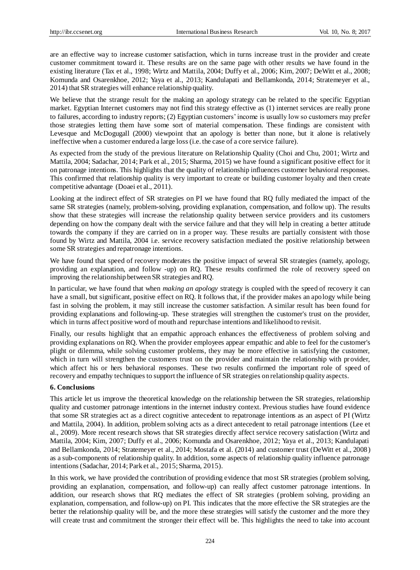are an effective way to increase customer satisfaction, which in turns increase trust in the provider and create customer commitment toward it. These results are on the same page with other results we have found in the existing literature (Tax et al., 1998; Wirtz and Mattila, 2004; Duffy et al., 2006; Kim, 2007; DeWitt et al., 2008; Komunda and Osarenkhoe, 2012; Yaya et al., 2013; Kandulapati and Bellamkonda, 2014; Stratemeyer et al., 2014) that SR strategies will enhance relationship quality.

We believe that the strange result for the making an apology strategy can be related to the specific Egyptian market. Egyptian Internet customers may not find this strategy effective as (1) internet services are really prone to failures, according to industry reports; (2) Egyptian customers' income is usually low so customers may prefer those strategies letting them have some sort of material compensation. These findings are consistent with Levesque and McDogugall (2000) viewpoint that an apology is better than none, but it alone is relatively ineffective when a customer endured a large loss (i.e. the case of a core service failure).

As expected from the study of the previous literature on Relationship Quality (Choi and Chu, 2001; Wirtz and Mattila, 2004; Sadachar, 2014; Park et al., 2015; Sharma, 2015) we have found a significant positive effect for it on patronage intentions. This highlights that the quality of relationship influences customer behavioral responses. This confirmed that relationship quality is very important to create or building customer loyalty and then create competitive advantage (Doaei et al., 2011).

Looking at the indirect effect of SR strategies on PI we have found that RQ fully mediated the impact of the same SR strategies (namely, problem-solving, providing explanation, compensation, and follow up). The results show that these strategies will increase the relationship quality between service providers and its customers depending on how the company dealt with the service failure and that they will help in creating a better attitude towards the company if they are carried on in a proper way. These results are partially consistent with those found by Wirtz and Mattila, 2004 i.e. service recovery satisfaction mediated the positive relationship between some SR strategies and repatronage intentions.

We have found that speed of recovery moderates the positive impact of several SR strategies (namely, apology, providing an explanation, and follow -up) on RQ. These results confirmed the role of recovery speed on improving the relationship between SR strategies and RQ.

In particular, we have found that when *making an apology* strategy is coupled with the speed of recovery it can have a small, but significant, positive effect on RQ. It follows that, if the provider makes an apology while being fast in solving the problem, it may still increase the customer satisfaction. A similar result has been found for providing explanations and following-up. These strategies will strengthen the customer's trust on the provider, which in turns affect positive word of mouth and repurchase intentions and likelihood to revisit.

Finally, our results highlight that an empathic approach enhances the effectiveness of problem solving and providing explanations on RQ. When the provider employees appear empathic and able to feel for the customer's plight or dilemma, while solving customer problems, they may be more effective in satisfying the customer, which in turn will strengthen the customers trust on the provider and maintain the relationship with provider, which affect his or hers behavioral responses. These two results confirmed the important role of speed of recovery and empathy techniques to support the influence of SR strategies on relationship quality aspects.

#### **6. Conclusions**

This article let us improve the theoretical knowledge on the relationship between the SR strategies, relationship quality and customer patronage intentions in the internet industry context. Previous studies have found evidence that some SR strategies act as a direct cognitive antecedent to repatronage intentions as an aspect of PI (Wirtz and Mattila, 2004). In addition, problem solving acts as a direct antecedent to retail patronage intentions (Lee et al., 2009). More recent research shows that SR strategies directly affect service recovery satisfaction (Wirtz and Mattila, 2004; Kim, 2007; Duffy et al., 2006; Komunda and Osarenkhoe, 2012; Yaya et al., 2013; Kandulapati and Bellamkonda, 2014; Stratemeyer et al., 2014; Mostafa et al. (2014) and customer trust (DeWitt et al., 2008) as a sub-components of relationship quality. In addition, some aspects of relationship quality influence patronage intentions (Sadachar, 2014; Park et al., 2015; Sharma, 2015).

In this work, we have provided the contribution of providing evidence that most SR strategies (problem solving, providing an explanation, compensation, and follow-up) can really affect customer patronage intentions. In addition, our research shows that RQ mediates the effect of SR strategies (problem solving, providing an explanation, compensation, and follow-up) on PI. This indicates that the more effective the SR strategies are the better the relationship quality will be, and the more these strategies will satisfy the customer and the more they will create trust and commitment the stronger their effect will be. This highlights the need to take into account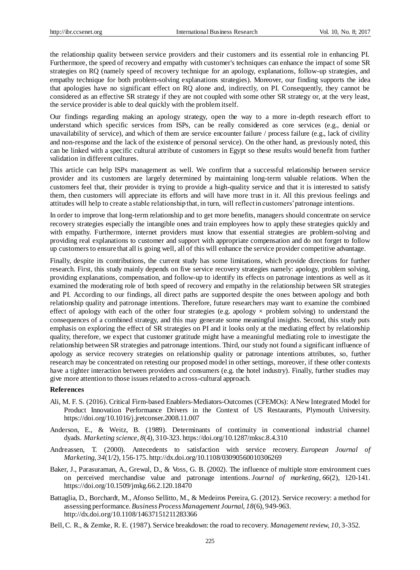the relationship quality between service providers and their customers and its essential role in enhancing PI. Furthermore, the speed of recovery and empathy with customer's techniques can enhance the impact of some SR strategies on RQ (namely speed of recovery technique for an apology, explanations, follow-up strategies, and empathy technique for both problem-solving explanations strategies). Moreover, our finding supports the idea that apologies have no significant effect on RQ alone and, indirectly, on PI. Consequently, they cannot be considered as an effective SR strategy if they are not coupled with some other SR strategy or, at the very least, the service provider is able to deal quickly with the problem itself.

Our findings regarding making an apology strategy, open the way to a more in-depth research effort to understand which specific services from ISPs, can be really considered as core services (e.g., denial or unavailability of service), and which of them are service encounter failure / process failure (e.g., lack of civility and non-response and the lack of the existence of personal service). On the other hand, as previously noted, this can be linked with a specific cultural attribute of customers in Egypt so these results would benefit from further validation in different cultures.

This article can help ISPs management as well. We confirm that a successful relationship between service provider and its customers are largely determined by maintaining long-term valuable relations. When the customers feel that, their provider is trying to provide a high-quality service and that it is interested to satisfy them, then customers will appreciate its efforts and will have more trust in it. All this previous feelings and attitudes will help to create a stable relationship that, in turn, will reflect in customers' patronage intentions.

In order to improve that long-term relationship and to get more benefits, managers should concentrate on service recovery strategies especially the intangible ones and train employees how to apply these strategies quickly and with empathy. Furthermore, internet providers must know that essential strategies are problem-solving and providing real explanations to customer and support with appropriate compensation and do not forget to follow up customers to ensure that all is going well, all of this will enhance the service provider competitive advantage.

Finally, despite its contributions, the current study has some limitations, which provide directions for further research. First, this study mainly depends on five service recovery strategies namely: apology, problem solving, providing explanations, compensation, and follow-up to identify its effects on patronage intentions as well as it examined the moderating role of both speed of recovery and empathy in the relationship between SR strategies and PI. According to our findings, all direct paths are supported despite the ones between apology and both relationship quality and patronage intentions. Therefore, future researchers may want to examine the combined effect of apology with each of the other four strategies (e.g. apology  $\times$  problem solving) to understand the consequences of a combined strategy, and this may generate some meaningful insights. Second, this study puts emphasis on exploring the effect of SR strategies on PI and it looks only at the mediating effect by relationship quality, therefore, we expect that customer gratitude might have a meaningful mediating role to investigate the relationship between SR strategies and patronage intentions. Third, our study not found a significant influence of apology as service recovery strategies on relationship quality or patronage intentions attributes, so, further research may be concentrated on retesting our proposed model in other settings, moreover, if these other contexts have a tighter interaction between providers and consumers (e.g. the hotel industry). Finally, further studies may give more attention to those issues related to a cross-cultural approach.

#### **References**

- Ali, M. F. S. (2016). Critical Firm-based Enablers-Mediators-Outcomes (CFEMOs): A New Integrated Model for Product Innovation Performance Drivers in the Context of US Restaurants, Plymouth University. https://doi.org/10.1016/j.jretconser.2008.11.007
- Anderson, E., & Weitz, B. (1989). Determinants of continuity in conventional industrial channel dyads. *Marketing science, 8*(4), 310-323. [https://doi.org/10.1287/mksc.8.4.310](https://doi.org/%7B0%7D)
- Andreassen, T. (2000). Antecedents to satisfaction with service recovery. *European Journal of Marketing, 34*(1/2), 156-175. http://dx.doi.org/10.1108/03090560010306269
- Baker, J., Parasuraman, A., Grewal, D., & Voss, G. B. (2002). The influence of multiple store environment cues on perceived merchandise value and patronage intentions. *Journal of marketing, 66*(2), 120-141. <https://doi.org/10.1509/jmkg.66.2.120.18470>
- Battaglia, D., Borchardt, M., Afonso Sellitto, M., & Medeiros Pereira, G. (2012). Service recovery: a method for assessing performance. *Business Process Management Journal, 18*(6), 949-963. <http://dx.doi.org/10.1108/14637151211283366>
- Bell, C. R., & Zemke, R. E. (1987). Service breakdown: the road to recovery. *Management review, 10,* 3-352.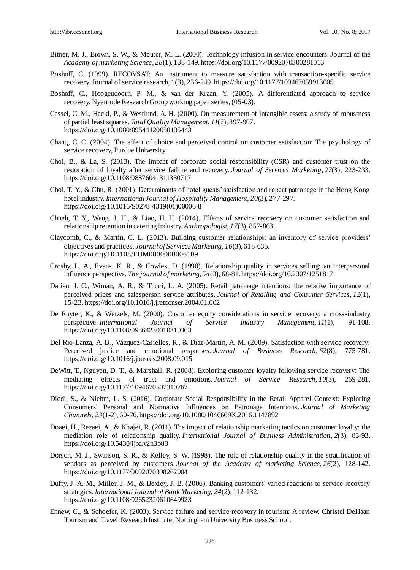- Bitner, M. J., Brown, S. W., & Meuter, M. L. (2000). Technology infusion in service encounters. Journal of the *Academy of marketing Science, 28*(1), 138-149. https://doi.org/10.1177/0092070300281013
- Boshoff, C. (1999). RECOVSAT: An instrument to measure satisfaction with transaction-specific service recovery.Journal of service research, 1(3), 236-249. https://doi.org/10.1177/109467059913005
- Boshoff, C., Hoogendoorn, P. M., & van der Kraan, Y. (2005). A differentiated approach to service recovery. Nyenrode Research Group working paper series, (05-03).
- Cassel, C. M., Hackl, P., & Westlund, A. H. (2000). On measurement of intangible assets: a study of robustness of partial least squares. *Total Quality Management, 11*(7), 897-907. https://doi.org/10.1080/09544120050135443
- Chang, C. C. (2004). The effect of choice and perceived control on customer satisfaction: The psychology of service recovery, Purdue University.
- Choi, B., & La, S. (2013). The impact of corporate social responsibility (CSR) and customer trust on the restoration of loyalty after service failure and recovery. *Journal of Services Marketing, 27*(3), 223-233. https://doi.org/10.1108/08876041311330717
- Choi, T. Y., & Chu, R. (2001). Determinants of hotel guests' satisfaction and repeat patronage in the Hong Kong hotel industry. *International Journal of Hospitality Management, 20*(3), 277-297. https://doi.org/10.1016/S0278-4319(01)00006-8
- Chueh, T. Y., Wang, J. H., & Liao, H. H. (2014). Effects of service recovery on customer satisfaction and relationship retention in catering industry. *Anthropologist, 17*(3), 857-863.
- Claycomb, C., & Martin, C. L. (2013). Building customer relationships: an inventory of service providers' objectives and practices. *Journal of Services Marketing, 16*(3), 615-635. <https://doi.org/10.1108/EUM0000000006109>
- Crosby, L. A., Evans, K. R., & Cowles, D. (1990). Relationship quality in services selling: an interpersonal influence perspective. *The journal of marketing, 54*(3), 68-81. https://doi.org/10.2307/1251817
- Darian, J. C., Wiman, A. R., & Tucci, L. A. (2005). Retail patronage intentions: the relative importance of perceived prices and salesperson service attributes. *Journal of Retailing and Consumer Services, 12*(1), 15-23. https://doi.org/10.1016/j.jretconser.2004.01.002
- De Ruyter, K., & Wetzels, M. (2000). Customer equity considerations in service recovery: a cross-industry perspective. *International Journal of Service Industry Management, 11*(1), 91-108. https://doi.org/10.1108/09564230010310303
- Del Rio-Lanza, A. B., Vázquez-Casielles, R., & D íaz-Mart ín, A. M. (2009). Satisfaction with service recovery: Perceived justice and emotional responses. *Journal of Business Research, 62*(8), 775-781. https://doi.org/10.1016/j.jbusres.2008.09.015
- DeWitt, T., Nguyen, D. T., & Marshall, R. (2008). Exploring customer loyalty following service recovery: The mediating effects of trust and emotions. *Journal of Service Research, 10*(3), 269-281. https://doi.org/10.1177/1094670507310767
- Diddi, S., & Niehm, L. S. (2016). Corporate Social Responsibility in the Retail Apparel Context: Exploring Consumers' Personal and Normative Influences on Patronage Intentions. *Journal of Marketing Channels, 23*(1-2), 60-76. https://doi.org/10.1080/1046669X.2016.1147892
- Doaei, H., Rezaei, A., & Khajei, R. (2011). The impact of relationship marketing tactics on customer loyalty: the mediation role of relationship quality. *International Journal of Business Administration, 2*(3), 83-93. <https://doi.org/10.5430/ijba.v2n3p83>
- Dorsch, M. J., Swanson, S. R., & Kelley, S. W. (1998). The role of relationship quality in the stratification of vendors as perceived by customers. *Journal of the Academy of marketing Science, 26*(2), 128-142. https://doi.org/10.1177/0092070398262004
- Duffy, J. A. M., Miller, J. M., & Bexley, J. B. (2006). Banking customers' varied reactions to service recovery strategies. *International Journal of Bank Marketing, 24*(2), 112-132. https://doi.org/10.1108/02652320610649923
- Ennew, C., & Schoefer, K. (2003). Service failure and service recovery in tourism: A review. Christel DeHaan Tourism and Travel Research Institute, Nottingham University Business School.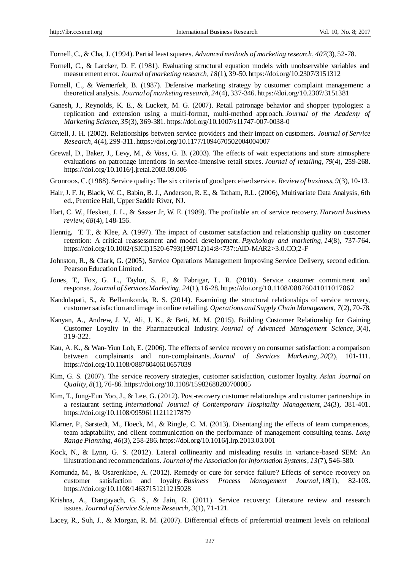Fornell, C., & Cha, J. (1994). Partial least squares. *Advanced methods of marketing research, 407*(3), 52-78.

- Fornell, C., & Larcker, D. F. (1981). Evaluating structural equation models with unobservable variables and measurement error. *Journal of marketing research, 18*(1), 39-50. https://doi.org/10.2307/3151312
- Fornell, C., & Wernerfelt, B. (1987). Defensive marketing strategy by customer complaint management: a theoretical analysis. *Journal of marketing research, 24*(4), 337-346. https://doi.org/10.2307/3151381
- Ganesh, J., Reynolds, K. E., & Luckett, M. G. (2007). Retail patronage behavior and shopper typologies: a replication and extension using a multi-format, multi-method approach. *Journal of the Academy of Marketing Science, 35*(3), 369-381. https://doi.org/10.1007/s11747-007-0038-0
- Gittell, J. H. (2002). Relationships between service providers and their impact on customers. *Journal of Service Research, 4*(4), 299-311. <https://doi.org/10.1177/1094670502004004007>
- Grewal, D., Baker, J., Levy, M., & Voss, G. B. (2003). The effects of wait expectations and store atmosphere evaluations on patronage intentions in service-intensive retail stores. *Journal of retailing, 79*(4), 259-268. https://doi.org/10.1016/j.jretai.2003.09.006
- Gronroos, C. (1988). Service quality: The six criteria of good perceived service. *Review of business, 9*(3), 10-13.
- Hair, J. F. Jr, Black, W. C., Babin, B. J., Anderson, R. E., & Tatham, R.L. (2006), Multivariate Data Analysis, 6th ed., Prentice Hall, Upper Saddle River, NJ.
- Hart, C. W., Heskett, J. L., & Sasser Jr, W. E. (1989). The profitable art of service recovery. *Harvard business review, 68*(4), 148-156.
- Hennig, T. T., & Klee, A. (1997). The impact of customer satisfaction and relationship quality on customer retention: A critical reassessment and model development. *Psychology and marketing, 14*(8), 737-764. https://doi.org/10.1002/(SICI)1520-6793(199712)14:8<737::AID-MAR2>3.0.CO;2-F
- Johnston, R., & Clark, G. (2005), Service Operations Management Improving Service Delivery, second edition. Pearson Education Limited.
- Jones, T., Fox, G. L., Taylor, S. F., & Fabrigar, L. R. (2010). Service customer commitment and response. *Journal of Services Marketing, 24*(1), 16-28. <https://doi.org/10.1108/08876041011017862>
- Kandulapati, S., & Bellamkonda, R. S. (2014). Examining the structural relationships of service recovery, customer satisfaction and image in online retailing. *Operations and Supply Chain Management, 7*(2), 70-78.
- Kanyan, A., Andrew, J. V., Ali, J. K., & Beti, M. M. (2015). Building Customer Relationship for Gaining Customer Loyalty in the Pharmaceutical Industry. *Journal of Advanced Management Science, 3*(4), 319-322.
- Kau, A. K., & Wan-Yiun Loh, E. (2006). The effects of service recovery on consumer satisfaction: a comparison between complainants and non-complainants. *Journal of Services Marketing, 20*(2), 101-111. https://doi.org/10.1108/08876040610657039
- Kim, G. S. (2007). The service recovery strategies, customer satisfaction, customer loyalty. *Asian Journal on Quality, 8*(1), 76-86. https://doi.org/10.1108/15982688200700005
- Kim, T., Jung-Eun Yoo, J., & Lee, G. (2012). Post-recovery customer relationships and customer partnerships in a restaurant setting. *International Journal of Contemporary Hospitality Management, 24*(3), 381-401. https://doi.org/10.1108/09596111211217879
- Klarner, P., Sarstedt, M., Hoeck, M., & Ringle, C. M. (2013). Disentangling the effects of team competences, team adaptability, and client communication on the performance of management consulting teams. *Long Range Planning, 46*(3), 258-286. https://doi.org/10.1016/j.lrp.2013.03.001
- Kock, N., & Lynn, G. S. (2012). Lateral collinearity and misleading results in variance-based SEM: An illustration and recommendations. *Journal of the Association for Information Systems, 13*(7), 546-580.
- Komunda, M., & Osarenkhoe, A. (2012). Remedy or cure for service failure? Effects of service recovery on customer satisfaction and loyalty. *Business Process Management Journal, 18*(1), 82-103. https://doi.org/10.1108/14637151211215028
- Krishna, A., Dangayach, G. S., & Jain, R. (2011). Service recovery: Literature review and research issues. *Journal of Service Science Research, 3*(1), 71-121.
- Lacey, R., Suh, J., & Morgan, R. M. (2007). Differential effects of preferential treatment levels on relational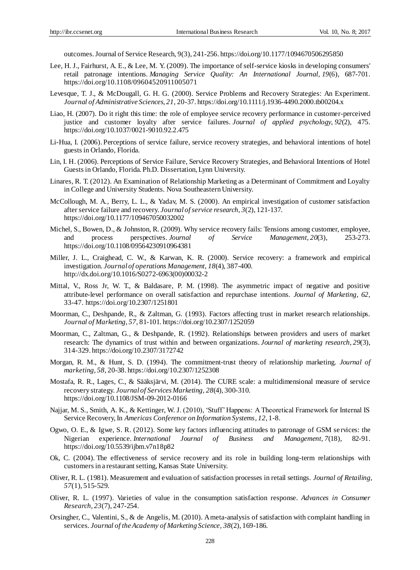outcomes.Journal of Service Research, 9(3), 241-256[. https://doi.org/10.1177/1094670506295850](https://doi.org/10.1177/1094670506295850)

- Lee, H. J., Fairhurst, A. E., & Lee, M. Y. (2009). The importance of self-service kiosks in developing consumers' retail patronage intentions. *Managing Service Quality: An International Journal, 19*(6), 687-701. <https://doi.org/10.1108/09604520911005071>
- Levesque, T. J., & McDougall, G. H. G. (2000). Service Problems and Recovery Strategies: An Experiment. *Journal of Administrative Sciences, 21,* 20-37. https://doi.org/10.1111/j.1936-4490.2000.tb00204.x
- Liao, H. (2007). Do it right this time: the role of employee service recovery performance in customer-perceived justice and customer loyalty after service failures. *Journal of applied psychology, 92*(2), 475. https://doi.org/10.1037/0021-9010.92.2.475
- Li-Hua, I. (2006). Perceptions of service failure, service recovery strategies, and behavioral intentions of hotel guests in Orlando, Florida.
- Lin, I. H. (2006). Perceptions of Service Failure, Service Recovery Strategies, and Behavioral Intentions of Hotel Guests in Orlando, Florida. Ph.D. Dissertation, Lynn University.
- Linares, R. T. (2012). An Examination of Relationship Marketing as a Determinant of Commitment and Loyalty in College and University Students. Nova Southeastern University.
- McCollough, M. A., Berry, L. L., & Yadav, M. S. (2000). An empirical investigation of customer satisfaction after service failure and recovery. *Journal of service research, 3*(2), 121-137. <https://doi.org/10.1177/109467050032002>
- Michel, S., Bowen, D., & Johnston, R. (2009). Why service recovery fails: Tensions among customer, employee, and process perspectives. *Journal of Service Management, 20*(3), 253-273. https://doi.org/10.1108/09564230910964381
- Miller, J. L., Craighead, C. W., & Karwan, K. R. (2000). Service recovery: a framework and empirical investigation. *Journal of operations Management, 18*(4), 387-400. [http://dx.doi.org/10.1016/S0272-6963\(00\)00032-2](http://dx.doi.org/10.1016/S0272-6963(00)00032-2)
- Mittal, V., Ross Jr, W. T., & Baldasare, P. M. (1998). The asymmetric impact of negative and positive attribute-level performance on overall satisfaction and repurchase intentions. *Journal of Marketing, 62,*  33-47. https://doi.org/10.2307/1251801
- Moorman, C., Deshpande, R., & Zaltman, G. (1993). Factors affecting trust in market research relationships. *Journal of Marketing, 57,* 81-101. https://doi.org/10.2307/1252059
- Moorman, C., Zaltman, G., & Deshpande, R. (1992). Relationships between providers and users of market research: The dynamics of trust within and between organizations. *Journal of marketing research, 29*(3), 314-329. https://doi.org/10.2307/3172742
- Morgan, R. M., & Hunt, S. D. (1994). The commitment-trust theory of relationship marketing. *Journal of marketing, 58,* 20-38. https://doi.org/10.2307/1252308
- Mostafa, R. R., Lages, C., & Sääksjärvi, M. (2014). The CURE scale: a multidimensional measure of service recovery strategy. *Journal of Services Marketing, 28*(4), 300-310. https://doi.org/10.1108/JSM-09-2012-0166
- Najjar, M. S., Smith, A. K., & Kettinger, W. J. (2010), 'Stuff' Happens: A Theoretical Framework for Internal IS Service Recovery, In *Americas Conference on Information Systems, 12,* 1-8.
- Ogwo, O. E., & Igwe, S. R. (2012). Some key factors influencing attitudes to patronage of GSM se rvices: the Nigerian experience. *International Journal of Business and Management, 7*(18), 82-91. https://doi.org/10.5539/ijbm.v7n18p82
- Ok, C. (2004). The effectiveness of service recovery and its role in building long-term relationships with customers in a restaurant setting, Kansas State University.
- Oliver, R. L. (1981). Measurement and evaluation of satisfaction processes in retail settings. *Journal of Retailing, 57*(1), 515-529.
- Oliver, R. L. (1997). Varieties of value in the consumption satisfaction response. *Advances in Consumer Research, 23*(7), 247-254.
- Orsingher, C., Valentini, S., & de Angelis, M. (2010). A meta-analysis of satisfaction with complaint handling in services. *Journal of the Academy of Marketing Science, 38*(2), 169-186.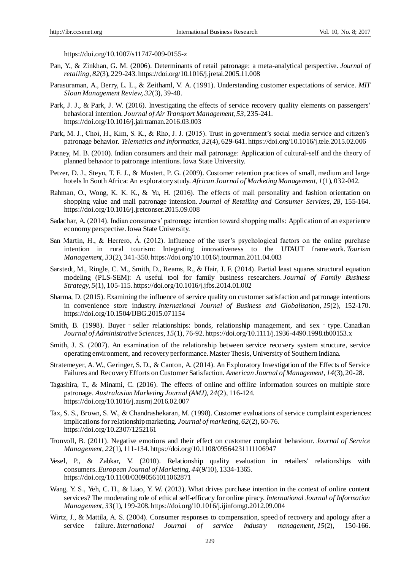https://doi.org/10.1007/s11747-009-0155-z

- Pan, Y., & Zinkhan, G. M. (2006). Determinants of retail patronage: a meta-analytical perspective. *Journal of retailing, 82*(3), 229-243. https://doi.org/10.1016/j.jretai.2005.11.008
- Parasuraman, A., Berry, L. L., & Zeithaml, V. A. (1991). Understanding customer expectations of service. *MIT Sloan Management Review, 32*(3), 39-48.
- Park, J. J., & Park, J. W. (2016). Investigating the effects of service recovery quality elements on passengers' behavioral intention. *Journal of Air Transport Management, 53,* 235-241. https://doi.org/10.1016/j.jairtraman.2016.03.003
- Park, M. J., Choi, H., Kim, S. K., & Rho, J. J. (2015). Trust in government's social media service and citizen's patronage behavior. *Telematics and Informatics, 32*(4), 629-641. https://doi.org/10.1016/j.tele.2015.02.006
- Patney, M. B. (2010). Indian consumers and their mall patronage: Application of cultural-self and the theory of planned behavior to patronage intentions. Iowa State University.
- Petzer, D. J., Steyn, T. F. J., & Mostert, P. G. (2009). Customer retention practices of small, medium and large hotels In South Africa: An exploratory study. *African Journal of Marketing Management, 1*(1), 032-042.
- Rahman, O., Wong, K. K. K., & Yu, H. (2016). The effects of mall personality and fashion orientation on shopping value and mall patronage intension. *Journal of Retailing and Consumer Services, 28,* 155-164. https://doi.org/10.1016/j.jretconser.2015.09.008
- Sadachar, A. (2014). Indian consumers' patronage intention toward shopping malls: Application of an experience economy perspective. Iowa State University.
- San Martín, H., & Herrero, Á. (2012). Influence of the user's psychological factors on the online purchase intention in rural tourism: Integrating innovativeness to the UTAUT framework. *Tourism Management, 33*(2), 341-350[. https://doi.org/10.1016/j.tourman.2011.04.003](https://doi.org/10.1016/j.tourman.2011.04.003)
- Sarstedt, M., Ringle, C. M., Smith, D., Reams, R., & Hair, J. F. (2014). Partial least squares structural equation modeling (PLS-SEM): A useful tool for family business researchers. *Journal of Family Business Strategy, 5*(1), 105-115. https://doi.org/10.1016/j.jfbs.2014.01.002
- Sharma, D. (2015). Examining the influence of service quality on customer satisfaction and patronage intentions in convenience store industry. *International Journal of Business and Globalisation, 15*(2), 152-170. https://doi.org/10.1504/IJBG.2015.071154
- Smith, B. (1998). Buyer seller relationships: bonds, relationship management, and sex type. Canadian *Journal of Administrative Sciences, 15*(1), 76-92. https://doi.org/10.1111/j.1936-4490.1998.tb00153.x
- Smith, J. S. (2007). An examination of the relationship between service recovery system structure, service operating environment, and recovery performance. Master Thesis, University of Southern Indiana.
- Stratemeyer, A. W., Geringer, S. D., & Canton, A. (2014). An Exploratory Investigation of the Effects of Service Failures and Recovery Efforts on Customer Satisfaction. *American Journal of Management, 14*(3), 20-28.
- Tagashira, T., & Minami, C. (2016). The effects of online and offline information sources on multiple store patronage. *Australasian Marketing Journal (AMJ), 24*(2), 116-124. https://doi.org/10.1016/j.ausmj.2016.02.007
- Tax, S. S., Brown, S. W., & Chandrashekaran, M. (1998). Customer evaluations of service complaint experiences: implications for relationship marketing. *Journal of marketing, 62*(2), 60-76. https://doi.org/10.2307/1252161
- Tronvoll, B. (2011). Negative emotions and their effect on customer complaint behaviour. *Journal of Service Management, 22*(1), 111-134. https://doi.org/10.1108/09564231111106947
- Vesel, P., & Zabkar, V. (2010). Relationship quality evaluation in retailers' relationships with consumers. *European Journal of Marketing, 44*(9/10), 1334-1365. https://doi.org/10.1108/03090561011062871
- Wang, Y. S., Yeh, C. H., & Liao, Y. W. (2013). What drives purchase intention in the context of online content services? The moderating role of ethical self-efficacy for online piracy. *International Journal of Information Management, 33*(1), 199-208. https://doi.org/10.1016/j.ijinfomgt.2012.09.004
- Wirtz, J., & Mattila, A. S. (2004). Consumer responses to compensation, speed of recovery and apology after a service failure. *International Journal of service industry management, 15*(2), 150-166.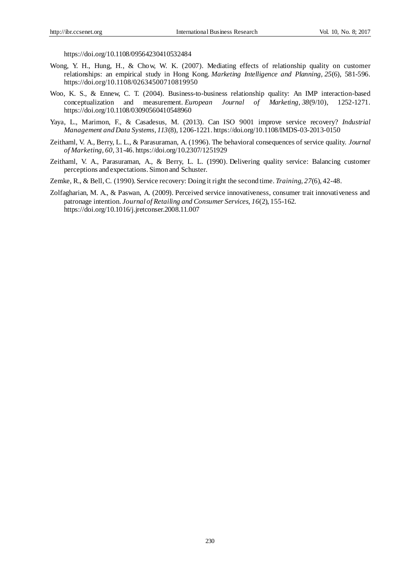https://doi.org/10.1108/09564230410532484

- Wong, Y. H., Hung, H., & Chow, W. K. (2007). Mediating effects of relationship quality on customer relationships: an empirical study in Hong Kong. *Marketing Intelligence and Planning, 25*(6), 581-596. <https://doi.org/10.1108/02634500710819950>
- Woo, K. S., & Ennew, C. T. (2004). Business-to-business relationship quality: An IMP interaction-based conceptualization and measurement. *European Journal of Marketing, 38*(9/10), 1252-1271. https://doi.org/10.1108/03090560410548960
- Yaya, L., Marimon, F., & Casadesus, M. (2013). Can ISO 9001 improve service recovery? *Industrial Management and Data Systems, 113*(8), 1206-1221. https://doi.org/10.1108/IMDS-03-2013-0150
- Zeithaml, V. A., Berry, L. L., & Parasuraman, A. (1996). The behavioral consequences of service quality. *Journal of Marketing, 60,* 31-46. https://doi.org/10.2307/1251929
- Zeithaml, V. A., Parasuraman, A., & Berry, L. L. (1990). Delivering quality service: Balancing customer perceptions and expectations. Simon and Schuster.
- Zemke, R., & Bell, C. (1990). Service recovery: Doing it right the second time. *Training, 27*(6), 42-48.
- Zolfagharian, M. A., & Paswan, A. (2009). Perceived service innovativeness, consumer trait innovativeness and patronage intention. *Journal of Retailing and Consumer Services, 16*(2), 155-162. <https://doi.org/10.1016/j.jretconser.2008.11.007>